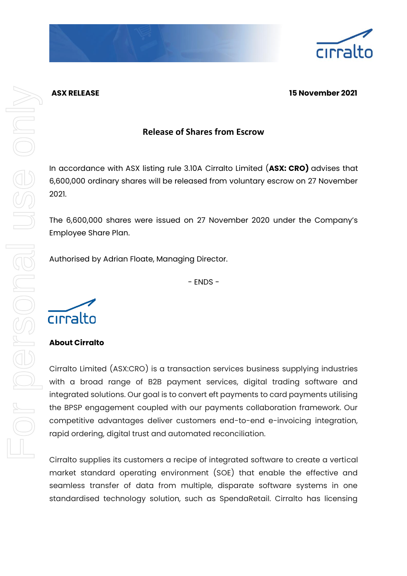

## **ASX RELEASE 15 November 2021**

# **Release of Shares from Escrow**

In accordance with ASX listing rule 3.10A Cirralto Limited (**ASX: CRO)** advises that 6,600,000 ordinary shares will be released from voluntary escrow on 27 November 2021.

The 6,600,000 shares were issued on 27 November 2020 under the Company's Employee Share Plan.

Authorised by Adrian Floate, Managing Director.

- ENDS -



## **About Cirralto**

Cirralto Limited (ASX:CRO) is a transaction services business supplying industries with a broad range of B2B payment services, digital trading software and integrated solutions. Our goal is to convert eft payments to card payments utilising the BPSP engagement coupled with our payments collaboration framework. Our competitive advantages deliver customers end-to-end e-invoicing integration, rapid ordering, digital trust and automated reconciliation.

Cirralto supplies its customers a recipe of integrated software to create a vertical market standard operating environment (SOE) that enable the effective and seamless transfer of data from multiple, disparate software systems in one standardised technology solution, such as SpendaRetail. Cirralto has licensing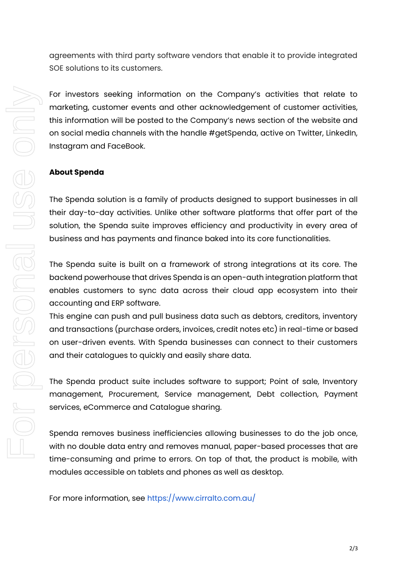agreements with third party software vendors that enable it to provide integrated SOE solutions to its customers.

For investors seeking information on the Company's activities that relate to marketing, customer events and other acknowledgement of customer activities, this information will be posted to the Company's news section of the website and on social media channels with the handle #getSpenda, active on Twitter, LinkedIn, Instagram and FaceBook.

#### **About Spenda**

The Spenda solution is a family of products designed to support businesses in all their day-to-day activities. Unlike other software platforms that offer part of the solution, the Spenda suite improves efficiency and productivity in every area of business and has payments and finance baked into its core functionalities.

The Spenda suite is built on a framework of strong integrations at its core. The backend powerhouse that drives Spenda is an open-auth integration platform that enables customers to sync data across their cloud app ecosystem into their accounting and ERP software.

This engine can push and pull business data such as debtors, creditors, inventory and transactions (purchase orders, invoices, credit notes etc) in real-time or based on user-driven events. With Spenda businesses can connect to their customers and their catalogues to quickly and easily share data.

The Spenda product suite includes software to support; Point of sale, Inventory management, Procurement, Service management, Debt collection, Payment services, eCommerce and Catalogue sharing.

Spenda removes business inefficiencies allowing businesses to do the job once, with no double data entry and removes manual, paper-based processes that are time-consuming and prime to errors. On top of that, the product is mobile, with modules accessible on tablets and phones as well as desktop.

For more information, see<https://www.cirralto.com.au/>